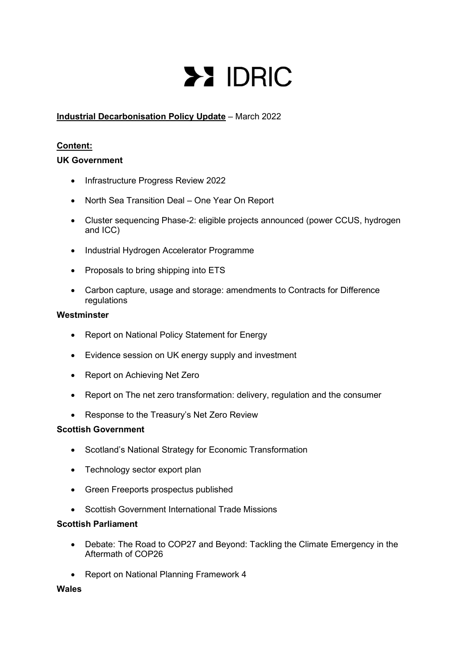# **>> IDRIC**

# Industrial Decarbonisation Policy Update – March 2022

# Content:

## UK Government

- Infrastructure Progress Review 2022
- North Sea Transition Deal One Year On Report
- Cluster sequencing Phase-2: eligible projects announced (power CCUS, hydrogen and ICC)
- Industrial Hydrogen Accelerator Programme
- Proposals to bring shipping into ETS
- Carbon capture, usage and storage: amendments to Contracts for Difference regulations

## Westminster

- Report on National Policy Statement for Energy
- Evidence session on UK energy supply and investment
- Report on Achieving Net Zero
- Report on The net zero transformation: delivery, regulation and the consumer
- Response to the Treasury's Net Zero Review

## Scottish Government

- Scotland's National Strategy for Economic Transformation
- Technology sector export plan
- Green Freeports prospectus published
- Scottish Government International Trade Missions

## Scottish Parliament

- Debate: The Road to COP27 and Beyond: Tackling the Climate Emergency in the Aftermath of COP26
- Report on National Planning Framework 4

# Wales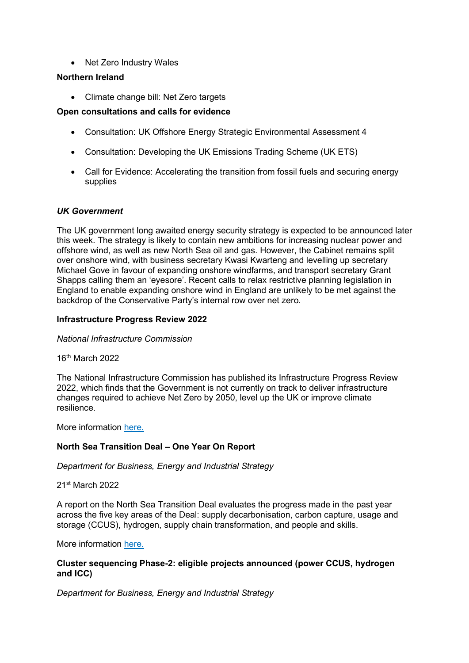• Net Zero Industry Wales

## Northern Ireland

• Climate change bill: Net Zero targets

# Open consultations and calls for evidence

- Consultation: UK Offshore Energy Strategic Environmental Assessment 4
- Consultation: Developing the UK Emissions Trading Scheme (UK ETS)
- Call for Evidence: Accelerating the transition from fossil fuels and securing energy supplies

#### UK Government

The UK government long awaited energy security strategy is expected to be announced later this week. The strategy is likely to contain new ambitions for increasing nuclear power and offshore wind, as well as new North Sea oil and gas. However, the Cabinet remains split over onshore wind, with business secretary Kwasi Kwarteng and levelling up secretary Michael Gove in favour of expanding onshore windfarms, and transport secretary Grant Shapps calling them an 'eyesore'. Recent calls to relax restrictive planning legislation in England to enable expanding onshore wind in England are unlikely to be met against the backdrop of the Conservative Party's internal row over net zero.

## Infrastructure Progress Review 2022

#### National Infrastructure Commission

16th March 2022

The National Infrastructure Commission has published its Infrastructure Progress Review 2022, which finds that the Government is not currently on track to deliver infrastructure changes required to achieve Net Zero by 2050, level up the UK or improve climate resilience.

More information here.

## North Sea Transition Deal – One Year On Report

Department for Business, Energy and Industrial Strategy

21st March 2022

A report on the North Sea Transition Deal evaluates the progress made in the past year across the five key areas of the Deal: supply decarbonisation, carbon capture, usage and storage (CCUS), hydrogen, supply chain transformation, and people and skills.

More information here.

#### Cluster sequencing Phase-2: eligible projects announced (power CCUS, hydrogen and ICC)

Department for Business, Energy and Industrial Strategy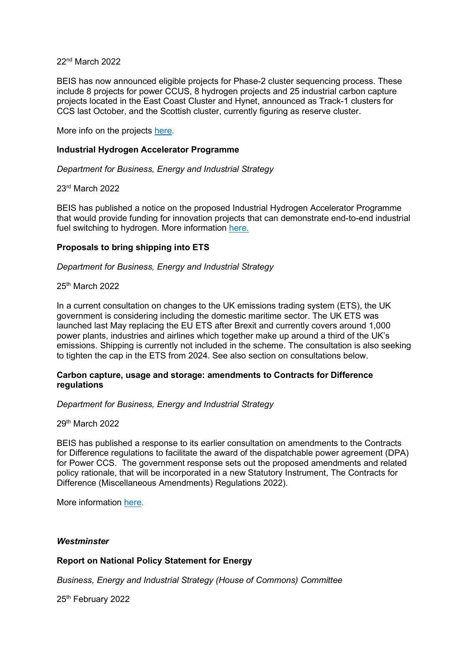22nd March 2022

BEIS has now announced eligible projects for Phase-2 cluster sequencing process. These include 8 projects for power CCUS, 8 hydrogen projects and 25 industrial carbon capture projects located in the East Coast Cluster and Hynet, announced as Track-1 clusters for CCS last October, and the Scottish cluster, currently figuring as reserve cluster.

More info on the projects here.

#### Industrial Hydrogen Accelerator Programme

Department for Business, Energy and Industrial Strategy

23rd March 2022

BEIS has published a notice on the proposed Industrial Hydrogen Accelerator Programme that would provide funding for innovation projects that can demonstrate end-to-end industrial fuel switching to hydrogen. More information here.

#### Proposals to bring shipping into ETS

Department for Business, Energy and Industrial Strategy

25th March 2022

In a current consultation on changes to the UK emissions trading system (ETS), the UK government is considering including the domestic maritime sector. The UK ETS was launched last May replacing the EU ETS after Brexit and currently covers around 1,000 power plants, industries and airlines which together make up around a third of the UK's emissions. Shipping is currently not included in the scheme. The consultation is also seeking to tighten the cap in the ETS from 2024. See also section on consultations below.

#### Carbon capture, usage and storage: amendments to Contracts for Difference regulations

Department for Business, Energy and Industrial Strategy

29th March 2022

BEIS has published a response to its earlier consultation on amendments to the Contracts for Difference regulations to facilitate the award of the dispatchable power agreement (DPA) for Power CCS. The government response sets out the proposed amendments and related policy rationale, that will be incorporated in a new Statutory Instrument, The Contracts for Difference (Miscellaneous Amendments) Regulations 2022).

More information here.

#### **Westminster**

#### Report on National Policy Statement for Energy

Business, Energy and Industrial Strategy (House of Commons) Committee

25<sup>th</sup> February 2022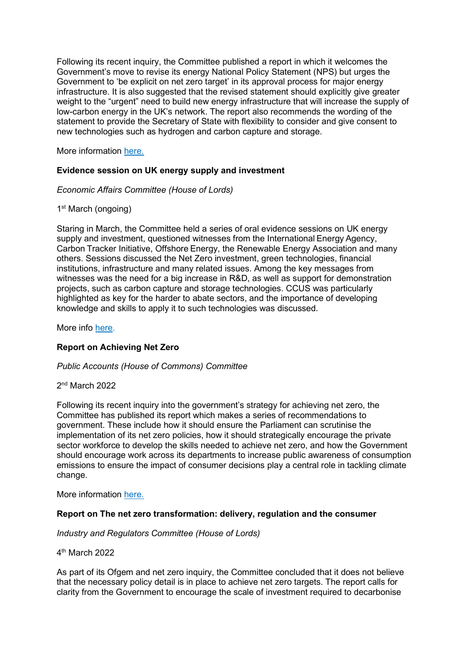Following its recent inquiry, the Committee published a report in which it welcomes the Government's move to revise its energy National Policy Statement (NPS) but urges the Government to 'be explicit on net zero target' in its approval process for major energy infrastructure. It is also suggested that the revised statement should explicitly give greater weight to the "urgent" need to build new energy infrastructure that will increase the supply of low-carbon energy in the UK's network. The report also recommends the wording of the statement to provide the Secretary of State with flexibility to consider and give consent to new technologies such as hydrogen and carbon capture and storage.

More information here.

## Evidence session on UK energy supply and investment

Economic Affairs Committee (House of Lords)

1<sup>st</sup> March (ongoing)

Staring in March, the Committee held a series of oral evidence sessions on UK energy supply and investment, questioned witnesses from the International Energy Agency, Carbon Tracker Initiative, Offshore Energy, the Renewable Energy Association and many others. Sessions discussed the Net Zero investment, green technologies, financial institutions, infrastructure and many related issues. Among the key messages from witnesses was the need for a big increase in R&D, as well as support for demonstration projects, such as carbon capture and storage technologies. CCUS was particularly highlighted as key for the harder to abate sectors, and the importance of developing knowledge and skills to apply it to such technologies was discussed.

More info here.

## Report on Achieving Net Zero

#### Public Accounts (House of Commons) Committee

2 nd March 2022

Following its recent inquiry into the government's strategy for achieving net zero, the Committee has published its report which makes a series of recommendations to government. These include how it should ensure the Parliament can scrutinise the implementation of its net zero policies, how it should strategically encourage the private sector workforce to develop the skills needed to achieve net zero, and how the Government should encourage work across its departments to increase public awareness of consumption emissions to ensure the impact of consumer decisions play a central role in tackling climate change.

More information here.

## Report on The net zero transformation: delivery, regulation and the consumer

Industry and Regulators Committee (House of Lords)

4 th March 2022

As part of its Ofgem and net zero inquiry, the Committee concluded that it does not believe that the necessary policy detail is in place to achieve net zero targets. The report calls for clarity from the Government to encourage the scale of investment required to decarbonise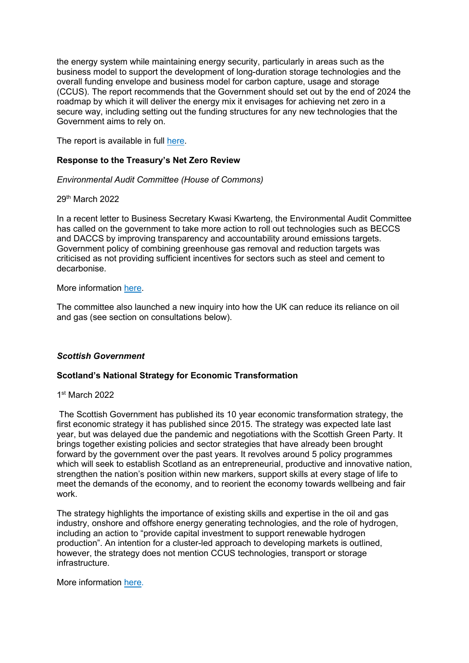the energy system while maintaining energy security, particularly in areas such as the business model to support the development of long-duration storage technologies and the overall funding envelope and business model for carbon capture, usage and storage (CCUS). The report recommends that the Government should set out by the end of 2024 the roadmap by which it will deliver the energy mix it envisages for achieving net zero in a secure way, including setting out the funding structures for any new technologies that the Government aims to rely on.

The report is available in full here. 

## Response to the Treasury's Net Zero Review

## Environmental Audit Committee (House of Commons)

29th March 2022

In a recent letter to Business Secretary Kwasi Kwarteng, the Environmental Audit Committee has called on the government to take more action to roll out technologies such as BECCS and DACCS by improving transparency and accountability around emissions targets. Government policy of combining greenhouse gas removal and reduction targets was criticised as not providing sufficient incentives for sectors such as steel and cement to decarbonise.

#### More information here.

The committee also launched a new inquiry into how the UK can reduce its reliance on oil and gas (see section on consultations below).

## Scottish Government

## Scotland's National Strategy for Economic Transformation

#### 1 st March 2022

 The Scottish Government has published its 10 year economic transformation strategy, the first economic strategy it has published since 2015. The strategy was expected late last year, but was delayed due the pandemic and negotiations with the Scottish Green Party. It brings together existing policies and sector strategies that have already been brought forward by the government over the past years. It revolves around 5 policy programmes which will seek to establish Scotland as an entrepreneurial, productive and innovative nation, strengthen the nation's position within new markers, support skills at every stage of life to meet the demands of the economy, and to reorient the economy towards wellbeing and fair work.

The strategy highlights the importance of existing skills and expertise in the oil and gas industry, onshore and offshore energy generating technologies, and the role of hydrogen, including an action to "provide capital investment to support renewable hydrogen production". An intention for a cluster-led approach to developing markets is outlined, however, the strategy does not mention CCUS technologies, transport or storage infrastructure.

More information here.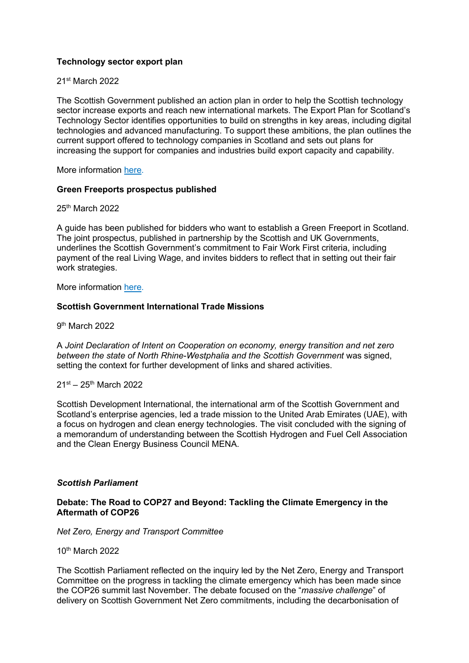# Technology sector export plan

## 21st March 2022

The Scottish Government published an action plan in order to help the Scottish technology sector increase exports and reach new international markets. The Export Plan for Scotland's Technology Sector identifies opportunities to build on strengths in key areas, including digital technologies and advanced manufacturing. To support these ambitions, the plan outlines the current support offered to technology companies in Scotland and sets out plans for increasing the support for companies and industries build export capacity and capability.

More information here.

## Green Freeports prospectus published

25th March 2022

A guide has been published for bidders who want to establish a Green Freeport in Scotland. The joint prospectus, published in partnership by the Scottish and UK Governments, underlines the Scottish Government's commitment to Fair Work First criteria, including payment of the real Living Wage, and invites bidders to reflect that in setting out their fair work strategies. 

More information here.

## Scottish Government International Trade Missions

9<sup>th</sup> March 2022

A Joint Declaration of Intent on Cooperation on economy, energy transition and net zero between the state of North Rhine-Westphalia and the Scottish Government was signed, setting the context for further development of links and shared activities.

#### 21st – 25th March 2022

Scottish Development International, the international arm of the Scottish Government and Scotland's enterprise agencies, led a trade mission to the United Arab Emirates (UAE), with a focus on hydrogen and clean energy technologies. The visit concluded with the signing of a memorandum of understanding between the Scottish Hydrogen and Fuel Cell Association and the Clean Energy Business Council MENA.

## Scottish Parliament

#### Debate: The Road to COP27 and Beyond: Tackling the Climate Emergency in the Aftermath of COP26

Net Zero, Energy and Transport Committee

10th March 2022

The Scottish Parliament reflected on the inquiry led by the Net Zero, Energy and Transport Committee on the progress in tackling the climate emergency which has been made since the COP26 summit last November. The debate focused on the "massive challenge" of delivery on Scottish Government Net Zero commitments, including the decarbonisation of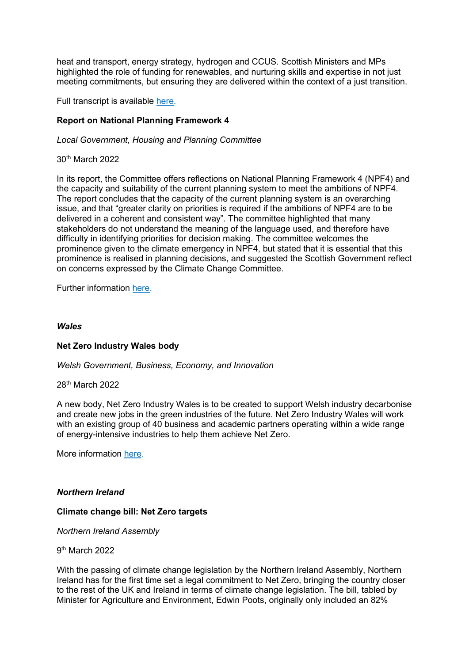heat and transport, energy strategy, hydrogen and CCUS. Scottish Ministers and MPs highlighted the role of funding for renewables, and nurturing skills and expertise in not just meeting commitments, but ensuring they are delivered within the context of a just transition.

Full transcript is available here.

# Report on National Planning Framework 4

Local Government, Housing and Planning Committee

30th March 2022

In its report, the Committee offers reflections on National Planning Framework 4 (NPF4) and the capacity and suitability of the current planning system to meet the ambitions of NPF4. The report concludes that the capacity of the current planning system is an overarching issue, and that "greater clarity on priorities is required if the ambitions of NPF4 are to be delivered in a coherent and consistent way". The committee highlighted that many stakeholders do not understand the meaning of the language used, and therefore have difficulty in identifying priorities for decision making. The committee welcomes the prominence given to the climate emergency in NPF4, but stated that it is essential that this prominence is realised in planning decisions, and suggested the Scottish Government reflect on concerns expressed by the Climate Change Committee.

Further information here.

#### Wales

## Net Zero Industry Wales body

Welsh Government, Business, Economy, and Innovation

28th March 2022

A new body, Net Zero Industry Wales is to be created to support Welsh industry decarbonise and create new jobs in the green industries of the future. Net Zero Industry Wales will work with an existing group of 40 business and academic partners operating within a wide range of energy-intensive industries to help them achieve Net Zero.

More information here.

## Northern Ireland

## Climate change bill: Net Zero targets

Northern Ireland Assembly

#### 9<sup>th</sup> March 2022

With the passing of climate change legislation by the Northern Ireland Assembly, Northern Ireland has for the first time set a legal commitment to Net Zero, bringing the country closer to the rest of the UK and Ireland in terms of climate change legislation. The bill, tabled by Minister for Agriculture and Environment, Edwin Poots, originally only included an 82%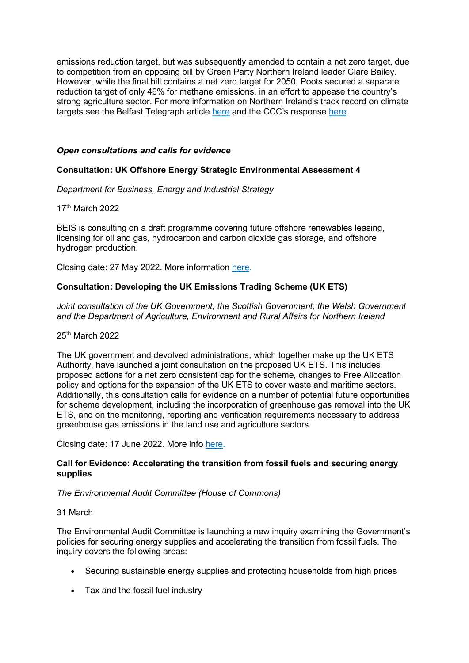emissions reduction target, but was subsequently amended to contain a net zero target, due to competition from an opposing bill by Green Party Northern Ireland leader Clare Bailey. However, while the final bill contains a net zero target for 2050, Poots secured a separate reduction target of only 46% for methane emissions, in an effort to appease the country's strong agriculture sector. For more information on Northern Ireland's track record on climate targets see the Belfast Telegraph article here and the CCC's response here.

# Open consultations and calls for evidence

# Consultation: UK Offshore Energy Strategic Environmental Assessment 4

Department for Business, Energy and Industrial Strategy

17th March 2022

BEIS is consulting on a draft programme covering future offshore renewables leasing, licensing for oil and gas, hydrocarbon and carbon dioxide gas storage, and offshore hydrogen production.

Closing date: 27 May 2022. More information here.

# Consultation: Developing the UK Emissions Trading Scheme (UK ETS)

Joint consultation of the UK Government, the Scottish Government, the Welsh Government and the Department of Agriculture, Environment and Rural Affairs for Northern Ireland

# 25<sup>th</sup> March 2022

The UK government and devolved administrations, which together make up the UK ETS Authority, have launched a joint consultation on the proposed UK ETS. This includes proposed actions for a net zero consistent cap for the scheme, changes to Free Allocation policy and options for the expansion of the UK ETS to cover waste and maritime sectors. Additionally, this consultation calls for evidence on a number of potential future opportunities for scheme development, including the incorporation of greenhouse gas removal into the UK ETS, and on the monitoring, reporting and verification requirements necessary to address greenhouse gas emissions in the land use and agriculture sectors.

Closing date: 17 June 2022. More info here.

## Call for Evidence: Accelerating the transition from fossil fuels and securing energy supplies

## The Environmental Audit Committee (House of Commons)

## 31 March

The Environmental Audit Committee is launching a new inquiry examining the Government's policies for securing energy supplies and accelerating the transition from fossil fuels. The inquiry covers the following areas:

- Securing sustainable energy supplies and protecting households from high prices
- Tax and the fossil fuel industry